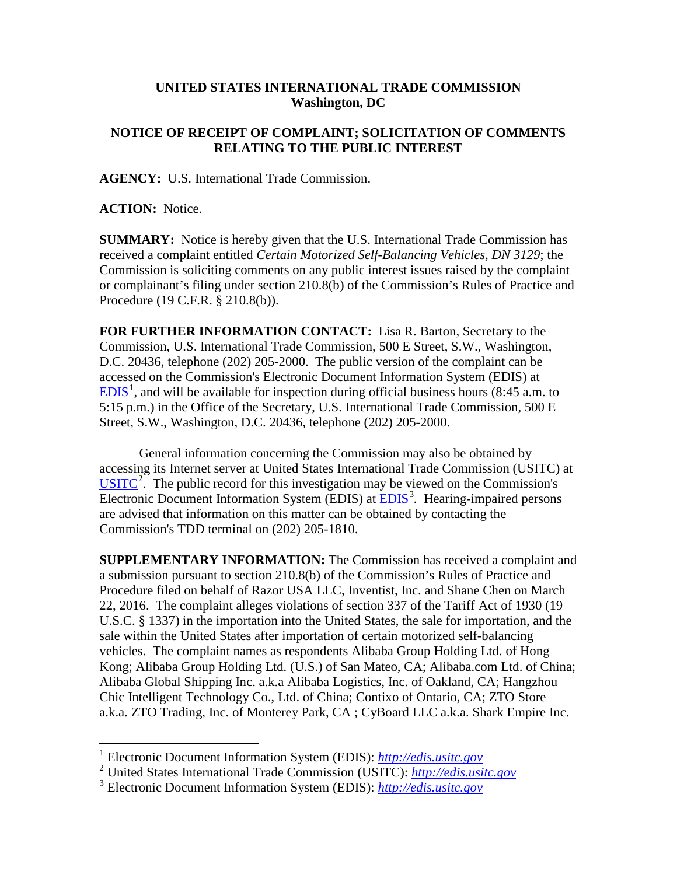## **UNITED STATES INTERNATIONAL TRADE COMMISSION Washington, DC**

## **NOTICE OF RECEIPT OF COMPLAINT; SOLICITATION OF COMMENTS RELATING TO THE PUBLIC INTEREST**

**AGENCY:** U.S. International Trade Commission.

**ACTION:** Notice.

**SUMMARY:** Notice is hereby given that the U.S. International Trade Commission has received a complaint entitled *Certain Motorized Self-Balancing Vehicles, DN 3129*; the Commission is soliciting comments on any public interest issues raised by the complaint or complainant's filing under section 210.8(b) of the Commission's Rules of Practice and Procedure (19 C.F.R. § 210.8(b)).

**FOR FURTHER INFORMATION CONTACT:** Lisa R. Barton, Secretary to the Commission, U.S. International Trade Commission, 500 E Street, S.W., Washington, D.C. 20436, telephone (202) 205-2000. The public version of the complaint can be accessed on the Commission's Electronic Document Information System (EDIS) at  $EDIS<sup>1</sup>$  $EDIS<sup>1</sup>$  $EDIS<sup>1</sup>$  $EDIS<sup>1</sup>$ , and will be available for inspection during official business hours (8:45 a.m. to 5:15 p.m.) in the Office of the Secretary, U.S. International Trade Commission, 500 E Street, S.W., Washington, D.C. 20436, telephone (202) 205-2000.

General information concerning the Commission may also be obtained by accessing its Internet server at United States International Trade Commission (USITC) at  $\overline{USTTC}^2$  $\overline{USTTC}^2$ . The public record for this investigation may be viewed on the Commission's Electronic Document Information System (EDIS) at **EDIS**<sup>[3](#page-0-2)</sup>. Hearing-impaired persons are advised that information on this matter can be obtained by contacting the Commission's TDD terminal on (202) 205-1810.

**SUPPLEMENTARY INFORMATION:** The Commission has received a complaint and a submission pursuant to section 210.8(b) of the Commission's Rules of Practice and Procedure filed on behalf of Razor USA LLC, Inventist, Inc. and Shane Chen on March 22, 2016. The complaint alleges violations of section 337 of the Tariff Act of 1930 (19 U.S.C. § 1337) in the importation into the United States, the sale for importation, and the sale within the United States after importation of certain motorized self-balancing vehicles. The complaint names as respondents Alibaba Group Holding Ltd. of Hong Kong; Alibaba Group Holding Ltd. (U.S.) of San Mateo, CA; Alibaba.com Ltd. of China; Alibaba Global Shipping Inc. a.k.a Alibaba Logistics, Inc. of Oakland, CA; Hangzhou Chic Intelligent Technology Co., Ltd. of China; Contixo of Ontario, CA; ZTO Store a.k.a. ZTO Trading, Inc. of Monterey Park, CA ; CyBoard LLC a.k.a. Shark Empire Inc.

<span id="page-0-0"></span> <sup>1</sup> Electronic Document Information System (EDIS): *[http://edis.usitc.gov](http://edis.usitc.gov/)*

<span id="page-0-1"></span><sup>2</sup> United States International Trade Commission (USITC): *[http://edis.usitc.gov](http://edis.usitc.gov/)*

<span id="page-0-2"></span><sup>3</sup> Electronic Document Information System (EDIS): *[http://edis.usitc.gov](http://edis.usitc.gov/)*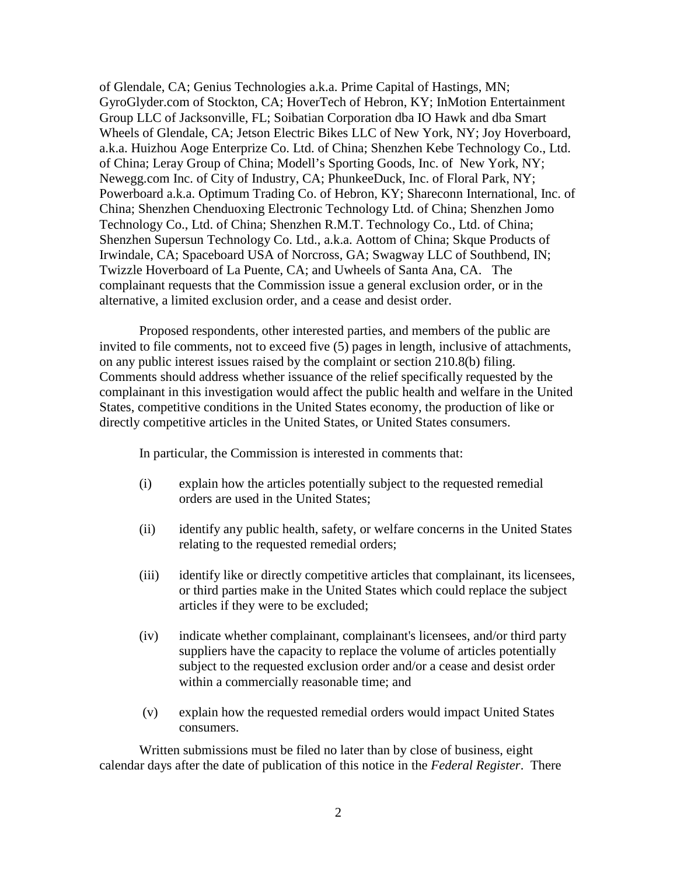of Glendale, CA; Genius Technologies a.k.a. Prime Capital of Hastings, MN; GyroGlyder.com of Stockton, CA; HoverTech of Hebron, KY; InMotion Entertainment Group LLC of Jacksonville, FL; Soibatian Corporation dba IO Hawk and dba Smart Wheels of Glendale, CA; Jetson Electric Bikes LLC of New York, NY; Joy Hoverboard, a.k.a. Huizhou Aoge Enterprize Co. Ltd. of China; Shenzhen Kebe Technology Co., Ltd. of China; Leray Group of China; Modell's Sporting Goods, Inc. of New York, NY; Newegg.com Inc. of City of Industry, CA; PhunkeeDuck, Inc. of Floral Park, NY; Powerboard a.k.a. Optimum Trading Co. of Hebron, KY; Shareconn International, Inc. of China; Shenzhen Chenduoxing Electronic Technology Ltd. of China; Shenzhen Jomo Technology Co., Ltd. of China; Shenzhen R.M.T. Technology Co., Ltd. of China; Shenzhen Supersun Technology Co. Ltd., a.k.a. Aottom of China; Skque Products of Irwindale, CA; Spaceboard USA of Norcross, GA; Swagway LLC of Southbend, IN; Twizzle Hoverboard of La Puente, CA; and Uwheels of Santa Ana, CA. The complainant requests that the Commission issue a general exclusion order, or in the alternative, a limited exclusion order, and a cease and desist order.

Proposed respondents, other interested parties, and members of the public are invited to file comments, not to exceed five (5) pages in length, inclusive of attachments, on any public interest issues raised by the complaint or section 210.8(b) filing. Comments should address whether issuance of the relief specifically requested by the complainant in this investigation would affect the public health and welfare in the United States, competitive conditions in the United States economy, the production of like or directly competitive articles in the United States, or United States consumers.

In particular, the Commission is interested in comments that:

- (i) explain how the articles potentially subject to the requested remedial orders are used in the United States;
- (ii) identify any public health, safety, or welfare concerns in the United States relating to the requested remedial orders;
- (iii) identify like or directly competitive articles that complainant, its licensees, or third parties make in the United States which could replace the subject articles if they were to be excluded;
- (iv) indicate whether complainant, complainant's licensees, and/or third party suppliers have the capacity to replace the volume of articles potentially subject to the requested exclusion order and/or a cease and desist order within a commercially reasonable time; and
- (v) explain how the requested remedial orders would impact United States consumers.

Written submissions must be filed no later than by close of business, eight calendar days after the date of publication of this notice in the *Federal Register*. There